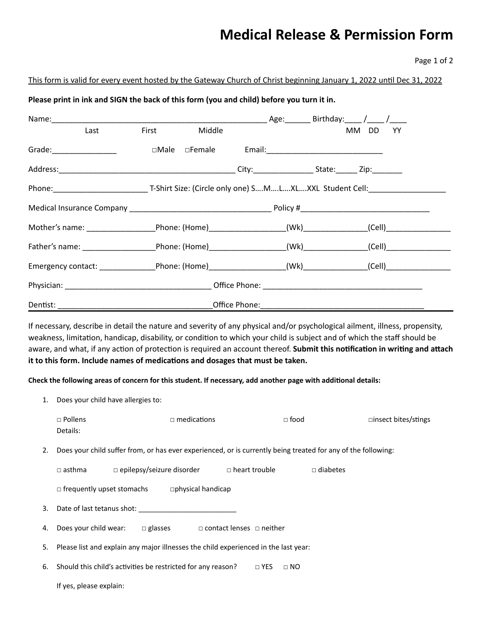## **Medical Release & Permission Form**

Page 1 of 2

### This form is valid for every event hosted by the Gateway Church of Christ beginning January 1, 2022 until Dec 31, 2022

## **Please print in ink and SIGN the back of this form (you and child) before you turn it in.**

| Last                                                | Middle<br><b>First</b> |                                                                                                                     |  | <b>YY</b><br>MM DD |  |  |
|-----------------------------------------------------|------------------------|---------------------------------------------------------------------------------------------------------------------|--|--------------------|--|--|
| Grade: __________________                           | $\square$ Male         | □Female Email: 2000 Email: 2000 Email: 2000 Email: 2000 Email: 2000 Email: 2001 Email: 2001 Email: 2001 Email: 2001 |  |                    |  |  |
|                                                     |                        | _City:______________________State:_______ Zip:__________                                                            |  |                    |  |  |
|                                                     |                        |                                                                                                                     |  |                    |  |  |
|                                                     |                        |                                                                                                                     |  |                    |  |  |
|                                                     |                        |                                                                                                                     |  |                    |  |  |
|                                                     |                        |                                                                                                                     |  |                    |  |  |
| Emergency contact: Phone: (Home) (Wk) (Cell) (Cell) |                        |                                                                                                                     |  |                    |  |  |
|                                                     |                        |                                                                                                                     |  |                    |  |  |
|                                                     |                        |                                                                                                                     |  |                    |  |  |

If necessary, describe in detail the nature and severity of any physical and/or psychological ailment, illness, propensity, weakness, limitation, handicap, disability, or condition to which your child is subject and of which the staff should be aware, and what, if any action of protection is required an account thereof. Submit this notification in writing and attach it to this form. Include names of medications and dosages that must be taken.

Check the following areas of concern for this student. If necessary, add another page with additional details:

| 1. | Does your child have allergies to:                                                                            |                                                             |                 |                               |  |  |  |  |
|----|---------------------------------------------------------------------------------------------------------------|-------------------------------------------------------------|-----------------|-------------------------------|--|--|--|--|
|    | $\Box$ Pollens<br>Details:                                                                                    | $\Box$ medications                                          | $\Box$ food     | $\square$ insect bites/stings |  |  |  |  |
| 2. | Does your child suffer from, or has ever experienced, or is currently being treated for any of the following: |                                                             |                 |                               |  |  |  |  |
|    | $\Box$ asthma                                                                                                 | $\square$ epilepsy/seizure disorder $\square$ heart trouble | $\Box$ diabetes |                               |  |  |  |  |
|    | $\Box$ frequently upset stomachs<br>$\Box$ physical handicap                                                  |                                                             |                 |                               |  |  |  |  |
| 3. | Date of last tetanus shot:                                                                                    |                                                             |                 |                               |  |  |  |  |
| 4. | Does your child wear:<br>$\Box$ glasses $\Box$ contact lenses $\Box$ neither                                  |                                                             |                 |                               |  |  |  |  |
| 5. | Please list and explain any major illnesses the child experienced in the last year:                           |                                                             |                 |                               |  |  |  |  |
| 6. | Should this child's activities be restricted for any reason?<br>$\Box$ YES<br>$\Box$ NO                       |                                                             |                 |                               |  |  |  |  |
|    | If yes, please explain:                                                                                       |                                                             |                 |                               |  |  |  |  |